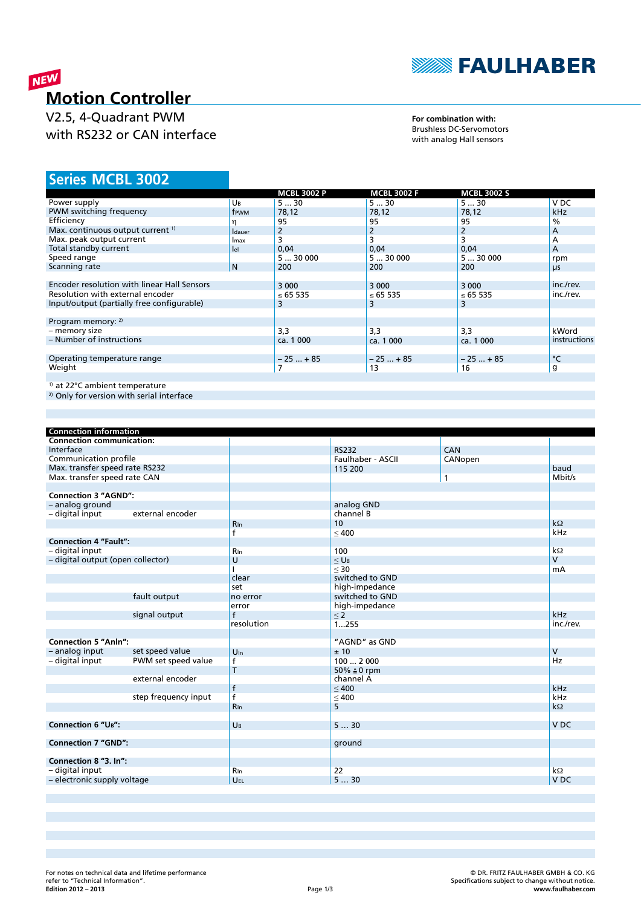

# NEW **Motion Controller**

V2.5, 4-Quadrant PWM with RS232 or CAN interface

### **For combination with:** Brushless DC-Servomotors with analog Hall sensors

## **MCBL 3002 Series**

|                                              |                | <b>MCBL 3002 P</b> | <b>MCBL 3002 F</b> | <b>MCBL 3002 S</b> |               |
|----------------------------------------------|----------------|--------------------|--------------------|--------------------|---------------|
| Power supply                                 | UB             | 530                | 530                | 530                | V DC          |
| PWM switching frequency                      | frwm           | 78,12              | 78,12              | 78,12              | <b>kHz</b>    |
| Efficiency                                   |                | 95                 | 95                 | 95                 | $\frac{0}{0}$ |
| Max. continuous output current <sup>1)</sup> | <b>I</b> dauer | 2                  | 2                  | $\overline{2}$     | A             |
| Max. peak output current                     | Imax           | 3                  | 3                  |                    | A             |
| Total standby current                        | lel            | 0,04               | 0,04               | 0,04               | A             |
| Speed range                                  |                | 530000             | 530000             | 530000             | rpm           |
| Scanning rate                                | N              | 200                | 200                | 200                | $\mu$ s       |
|                                              |                |                    |                    |                    |               |
| Encoder resolution with linear Hall Sensors  |                | 3 0 0 0            | 3 0 0 0            | 3 0 0 0            | inc./rev.     |
| Resolution with external encoder             |                | ≤ 65 535           | ≤ 65 535           | ≤ 65 535           | inc./rev.     |
| Input/output (partially free configurable)   |                | 3                  | 3                  | 3                  |               |
|                                              |                |                    |                    |                    |               |
| Program memory: $2)$                         |                |                    |                    |                    |               |
| - memory size                                |                | 3,3                | 3,3                | 3,3                | kWord         |
| - Number of instructions                     |                | ca. 1 000          | ca. 1 000          | ca. 1 000          | instructions  |
|                                              |                |                    |                    |                    |               |
| Operating temperature range                  |                | $-25+85$           | $-25+85$           | $-25+85$           | °C            |
| Weight                                       |                |                    | 13                 | 16                 | g             |
|                                              |                |                    |                    |                    |               |
| <sup>1)</sup> at 22°C ambient temperature    |                |                    |                    |                    |               |

2) Only for version with serial interface

| <b>Connection information</b>     |                      |              |                        |              |                 |
|-----------------------------------|----------------------|--------------|------------------------|--------------|-----------------|
| <b>Connection communication:</b>  |                      |              |                        |              |                 |
| Interface                         |                      |              | <b>RS232</b>           | CAN          |                 |
| Communication profile             |                      |              | Faulhaber - ASCII      | CANopen      |                 |
| Max. transfer speed rate RS232    |                      |              | 115 200                |              | baud            |
| Max. transfer speed rate CAN      |                      |              |                        | $\mathbf{1}$ | Mbit/s          |
|                                   |                      |              |                        |              |                 |
| <b>Connection 3 "AGND":</b>       |                      |              |                        |              |                 |
| - analog ground                   |                      |              | analog GND             |              |                 |
| - digital input                   | external encoder     |              | channel B              |              |                 |
|                                   |                      | <b>R</b> In  | 10                     |              | $k\Omega$       |
|                                   |                      | f            | < 400                  |              | kHz             |
| <b>Connection 4 "Fault":</b>      |                      |              |                        |              |                 |
| - digital input                   |                      | <b>R</b> In  | 100                    |              | $k\Omega$       |
| - digital output (open collector) |                      | U            | $<$ U <sub>B</sub>     |              | $\mathsf{V}$    |
|                                   |                      |              | $<$ 30                 |              | mA              |
|                                   |                      | clear        | switched to GND        |              |                 |
|                                   |                      | set          | high-impedance         |              |                 |
|                                   | fault output         | no error     | switched to GND        |              |                 |
|                                   |                      | error        | high-impedance         |              |                 |
|                                   | signal output        | $\mathsf{f}$ | $\leq$ 2               |              | kHz             |
|                                   |                      | resolution   | 1255                   |              | inc./rev.       |
|                                   |                      |              |                        |              |                 |
| <b>Connection 5 "Anln":</b>       |                      |              | "AGND" as GND          |              |                 |
| - analog input                    | set speed value      | $U_{\ln}$    | ±10                    |              | $\vee$          |
| - digital input                   | PWM set speed value  | $\mathsf{f}$ | 1002000                |              | Hz              |
|                                   |                      | T            | 50% $\triangleq$ 0 rpm |              |                 |
|                                   | external encoder     |              | channel A              |              |                 |
|                                   |                      | $\mathsf{f}$ | < 400                  |              | kHz             |
|                                   | step frequency input | f            | $\leq 400$             |              | kHz             |
|                                   |                      | <b>R</b> In  | 5                      |              | $k\Omega$       |
|                                   |                      |              |                        |              |                 |
| <b>Connection 6 "UB":</b>         |                      | UB           | 530                    |              | V <sub>DC</sub> |
|                                   |                      |              |                        |              |                 |
| <b>Connection 7 "GND":</b>        |                      |              | ground                 |              |                 |
|                                   |                      |              |                        |              |                 |
| Connection 8 "3. In":             |                      |              |                        |              |                 |
| - digital input                   |                      | <b>R</b> In  | 22                     |              | $k\Omega$       |
| - electronic supply voltage       |                      | UEL          | 530                    |              | V <sub>DC</sub> |
|                                   |                      |              |                        |              |                 |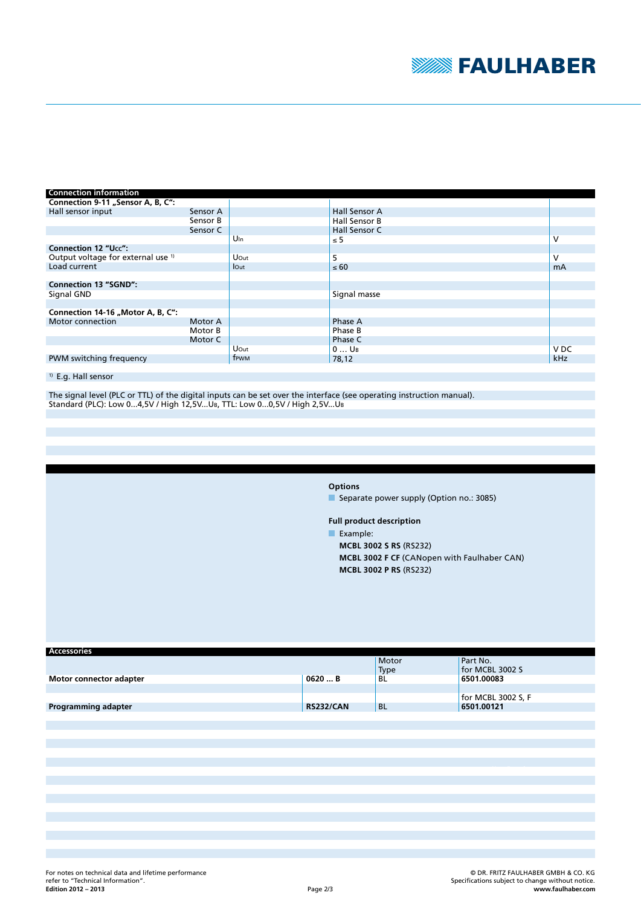

| <b>Connection information</b>                 |          |                 |                      |                 |
|-----------------------------------------------|----------|-----------------|----------------------|-----------------|
| Connection 9-11 "Sensor A, B, C":             |          |                 |                      |                 |
| Hall sensor input                             | Sensor A |                 | <b>Hall Sensor A</b> |                 |
|                                               | Sensor B |                 | Hall Sensor B        |                 |
|                                               | Sensor C |                 | Hall Sensor C        |                 |
|                                               |          | U <sub>In</sub> | $\leq 5$             | v               |
| <b>Connection 12 "Ucc":</b>                   |          |                 |                      |                 |
| Output voltage for external use <sup>1)</sup> |          | Uout            | 5                    | V               |
| Load current                                  |          | lout            | $\leq 60$            | <b>mA</b>       |
|                                               |          |                 |                      |                 |
| <b>Connection 13 "SGND":</b>                  |          |                 |                      |                 |
| Signal GND                                    |          |                 | Signal masse         |                 |
|                                               |          |                 |                      |                 |
| Connection 14-16 "Motor A, B, C":             |          |                 |                      |                 |
| Motor connection                              | Motor A  |                 | Phase A              |                 |
|                                               | Motor B  |                 | Phase B              |                 |
|                                               | Motor C  |                 | Phase C              |                 |
|                                               |          | Uout            | $0$ U <sub>B</sub>   | V <sub>DC</sub> |
| PWM switching frequency                       |          | frwm            | 78,12                | kHz             |

## <sup>1)</sup> E.g. Hall sensor

The signal level (PLC or TTL) of the digital inputs can be set over the interface (see operating instruction manual). Standard (PLC): Low 0...4,5V / High 12,5V...UB, TTL: Low 0...0,5V / High 2,5V...UB

**Options**

Separate power supply (Option no.: 3085)

**Full product description**

Example:

**MCBL 3002 S RS** (RS232) **MCBL 3002 F CF** (CANopen with Faulhaber CAN) **MCBL 3002 P RS** (RS232)

| <b>Accessories</b>         |                  |               |                             |
|----------------------------|------------------|---------------|-----------------------------|
|                            |                  | Motor<br>Type | Part No.<br>for MCBL 3002 S |
| Motor connector adapter    | 0620  B          | BL            | 6501.00083                  |
|                            |                  |               |                             |
|                            |                  |               | for MCBL 3002 S, F          |
| <b>Programming adapter</b> | <b>RS232/CAN</b> | <b>BL</b>     | 6501.00121                  |
|                            |                  |               |                             |
|                            |                  |               |                             |
|                            |                  |               |                             |
|                            |                  |               |                             |
|                            |                  |               |                             |
|                            |                  |               |                             |
|                            |                  |               |                             |
|                            |                  |               |                             |
|                            |                  |               |                             |
|                            |                  |               |                             |
|                            |                  |               |                             |
|                            |                  |               |                             |
|                            |                  |               |                             |
|                            |                  |               |                             |
|                            |                  |               |                             |
|                            |                  |               |                             |